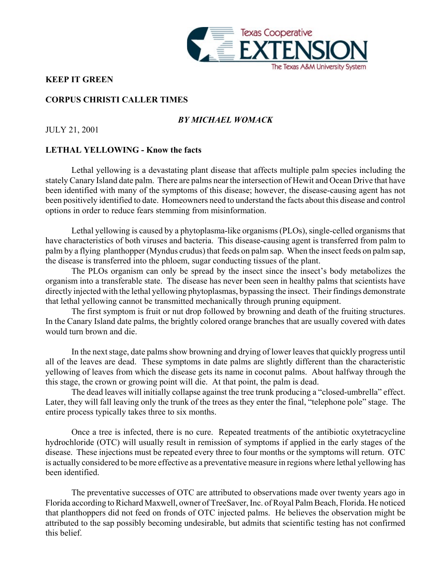

## **KEEP IT GREEN**

## **CORPUS CHRISTI CALLER TIMES**

# *BY MICHAEL WOMACK*

JULY 21, 2001

## **LETHAL YELLOWING - Know the facts**

Lethal yellowing is a devastating plant disease that affects multiple palm species including the stately Canary Island date palm. There are palms near the intersection of Hewit and Ocean Drive that have been identified with many of the symptoms of this disease; however, the disease-causing agent has not been positively identified to date. Homeowners need to understand the facts about this disease and control options in order to reduce fears stemming from misinformation.

Lethal yellowing is caused by a phytoplasma-like organisms (PLOs), single-celled organisms that have characteristics of both viruses and bacteria. This disease-causing agent is transferred from palm to palm by a flying planthopper (Myndus crudus) that feeds on palm sap. When the insect feeds on palm sap, the disease is transferred into the phloem, sugar conducting tissues of the plant.

The PLOs organism can only be spread by the insect since the insect's body metabolizes the organism into a transferable state. The disease has never been seen in healthy palms that scientists have directly injected with the lethal yellowing phytoplasmas, bypassing the insect. Their findings demonstrate that lethal yellowing cannot be transmitted mechanically through pruning equipment.

The first symptom is fruit or nut drop followed by browning and death of the fruiting structures. In the Canary Island date palms, the brightly colored orange branches that are usually covered with dates would turn brown and die.

In the next stage, date palms show browning and drying of lower leaves that quickly progress until all of the leaves are dead. These symptoms in date palms are slightly different than the characteristic yellowing of leaves from which the disease gets its name in coconut palms. About halfway through the this stage, the crown or growing point will die. At that point, the palm is dead.

The dead leaves will initially collapse against the tree trunk producing a "closed-umbrella" effect. Later, they will fall leaving only the trunk of the trees as they enter the final, "telephone pole" stage. The entire process typically takes three to six months.

Once a tree is infected, there is no cure. Repeated treatments of the antibiotic oxytetracycline hydrochloride (OTC) will usually result in remission of symptoms if applied in the early stages of the disease. These injections must be repeated every three to four months or the symptoms will return. OTC is actually considered to be more effective as a preventative measure in regions where lethal yellowing has been identified.

The preventative successes of OTC are attributed to observations made over twenty years ago in Florida according to Richard Maxwell, owner of TreeSaver, Inc. of Royal Palm Beach, Florida. He noticed that planthoppers did not feed on fronds of OTC injected palms. He believes the observation might be attributed to the sap possibly becoming undesirable, but admits that scientific testing has not confirmed this belief.